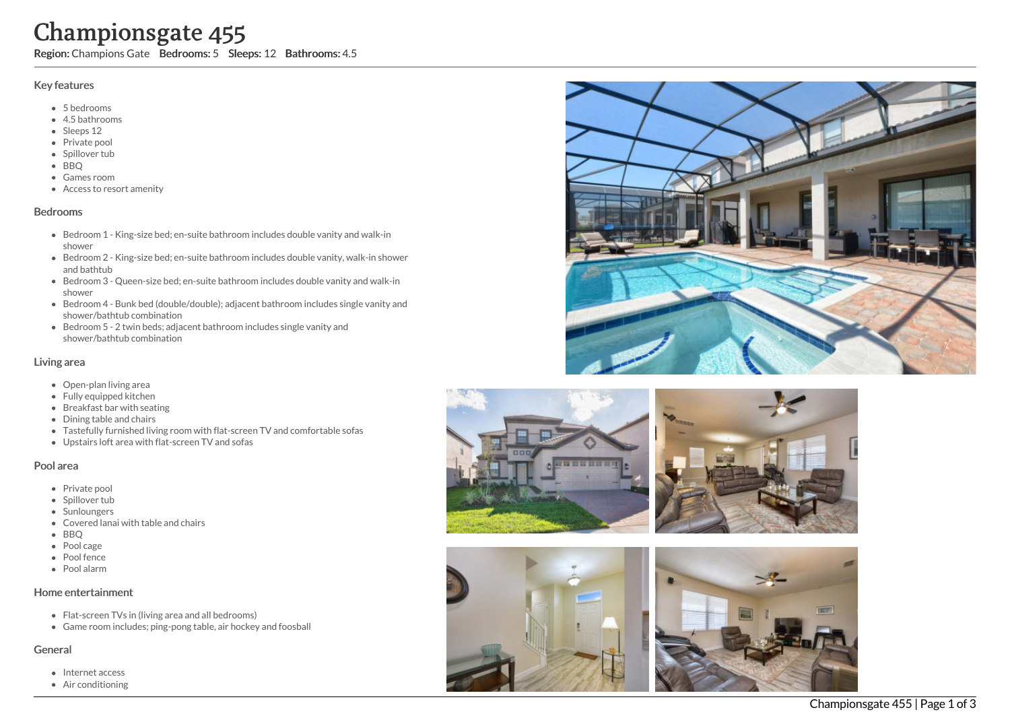o o m s: 4.5

## Key features

- 5 b e d r o o m s
- 4.5 b a t h r o o m s
- Sleeps 12
- Private pool
- Spillover tub
- BBQ
- Games room
- Access to resort amenity

#### **Bedrooms**

- Bedroom 1 King-size bed; en-suite bathroom includes double vanity and walk-in s h o w e r **Championsgate 455**<br>
Region: Champions Gate Bedrooms: 5 Sleeps: 12 Bathre<br>
Key features<br>
• Shedrooms<br>
• Shedrooms<br>
• Shedrooms<br>
• Shear of the Shear of the Shear of the Shear of the Shear of the BRQ<br>
• Shower<br>
• Games room
	- Bedroom 2 King-size bed; en-suite bathroom includes double vanity, walk-in shower and bathtub
	- Bedroom 3 Queen-size bed; en-suite bathroom includes double vanity and walk-in s h o w e r
	- Bedroom 4 Bunk bed (double/double); adjacent bathroom includes single vanity and shower/bathtub combination
	- Bedroom 5 2 twin beds; adjacent bathroom includes single vanity and shower/bathtub combination

## Living area

- Open-plan living area
- Fully equipped kitchen
- Breakfast bar with seating
- Dining table and chairs
- Tastefully furnished living room with flat-screen TV and comfortable sofas
- Upstairs loft area with flat-screen TV and sofas

#### Pool area

- Private pool
- Spillover tub
- Sunloungers
- Covered lanai with table and chairs
- B B Q
- Pool cage
- Pool fence
- P o ol ala r m

#### Home entertainment

- Flat-screen TVs in (living area and all bedrooms)
- Game room includes; ping-pong table, air hockey and foosball

## General

- Internet access
- 









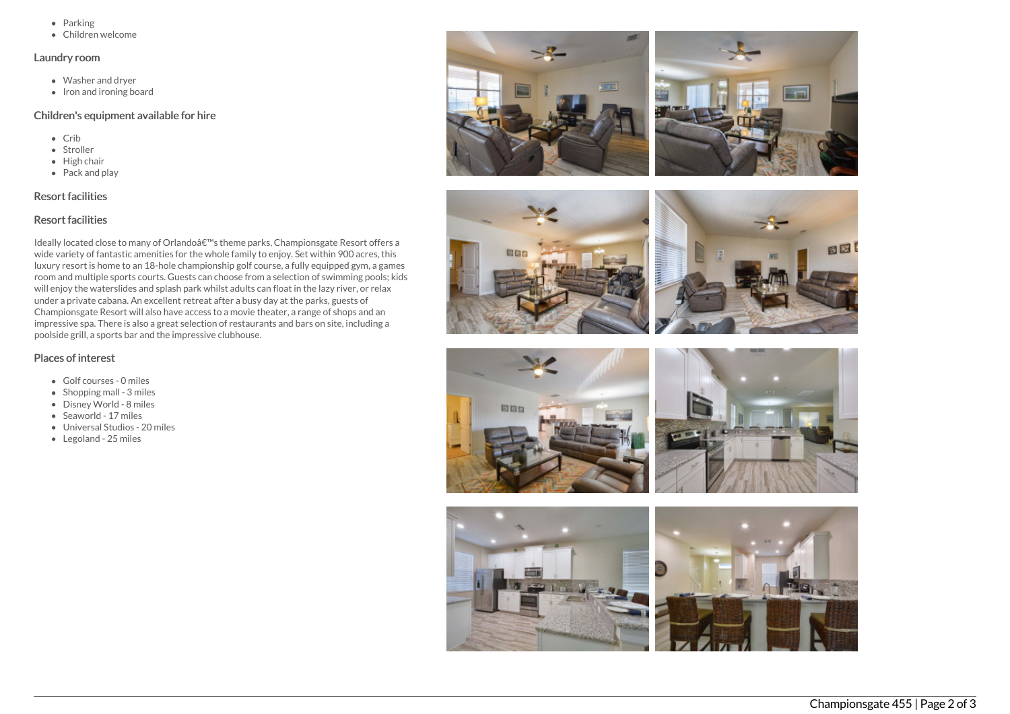- $\bullet$  Parking
- Children welcome

## Laundry room

- Washer and dryer
- $\bullet$  Iron and ironing board

#### Children's equipment available for hire

- Crib
- Stroller
- $\bullet$  High chair
- Pack and play

# Resort facilities

# Resort facilities

Ideally located close to many of Orlando's theme parks, Championsgate Resort offers a wide variety of fantastic amenities for the whole family to enjoy. Set within 900 acres, this luxury resort is home to an 18-hole championship golf course, a fully equipped gym, a games room and multiple sports courts. Guests can choose from a selection of swimming pools; kids will enjoy the waterslides and splash park whilst adults can float in the lazy river, or relax under a private cabana. An excellent retreat after a busy day at the parks, guests of Championsgate Resort will also have access to a movie theater, a range of shops and an impressive spa. There is also a great selection of restaurants and bars on site, including a poolside grill, a sports bar and the impressive clubhouse.

# Places of interest

- Golf courses 0 miles
- $\bullet$  Shopping mall 3 miles
- Disney World 8 miles
- Seaworld 17 miles
- Universal Studios 20 miles
- Legoland 25 miles